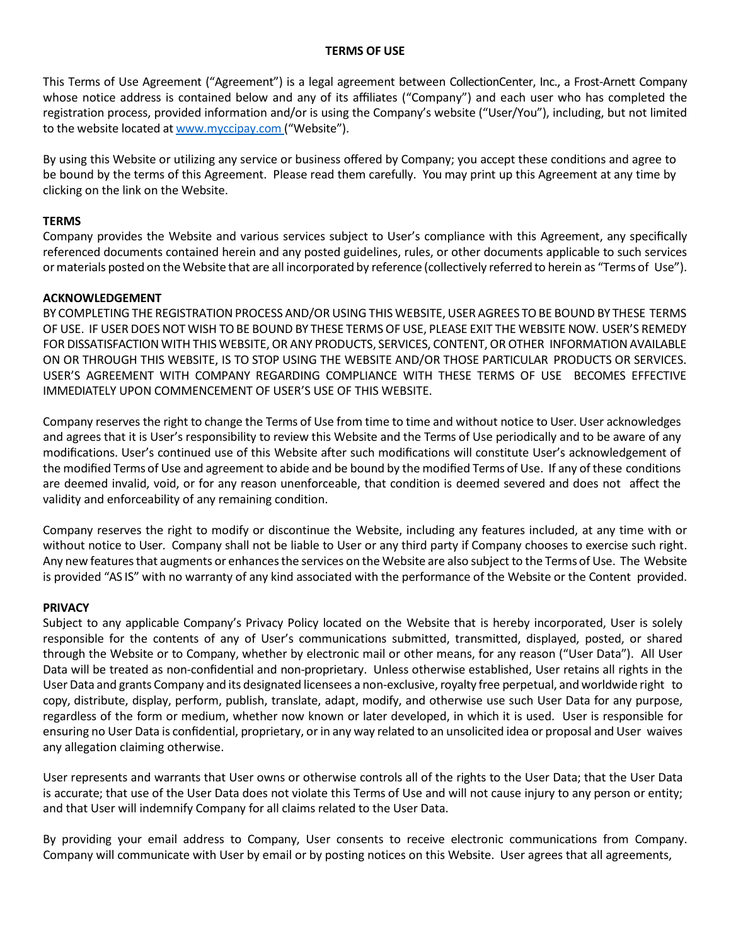### **TERMS OF USE**

This Terms of Use Agreement ("Agreement") is a legal agreement between CollectionCenter, Inc., a Frost-Arnett Company whose notice address is contained below and any of its affiliates ("Company") and each user who has completed the registration process, provided information and/or is using the Company's website ("User/You"), including, but not limited to the website located at www.myccipay.com ("Website").

By using this Website or utilizing any service or business offered by Company; you accept these conditions and agree to be bound by the terms of this Agreement. Please read them carefully. You may print up this Agreement at any time by clicking on the link on the Website.

# **TERMS**

Company provides the Website and various services subject to User's compliance with this Agreement, any specifically referenced documents contained herein and any posted guidelines, rules, or other documents applicable to such services ormaterials posted on the Website that are all incorporated by reference (collectively referred to herein as "Terms of Use").

## **ACKNOWLEDGEMENT**

BY COMPLETING THE REGISTRATION PROCESS AND/OR USING THIS WEBSITE, USER AGREES TOBE BOUND BY THESE TERMS OF USE. IF USER DOES NOT WISH TO BE BOUND BY THESE TERMS OF USE, PLEASE EXIT THE WEBSITE NOW. USER'S REMEDY FOR DISSATISFACTION WITH THIS WEBSITE, OR ANY PRODUCTS, SERVICES, CONTENT, OR OTHER INFORMATION AVAILABLE ON OR THROUGH THIS WEBSITE, IS TO STOP USING THE WEBSITE AND/OR THOSE PARTICULAR PRODUCTS OR SERVICES. USER'S AGREEMENT WITH COMPANY REGARDING COMPLIANCE WITH THESE TERMS OF USE BECOMES EFFECTIVE IMMEDIATELY UPON COMMENCEMENT OF USER'S USE OF THIS WEBSITE.

Company reserves the right to change the Terms of Use from time to time and without notice to User. User acknowledges and agrees that it is User's responsibility to review this Website and the Terms of Use periodically and to be aware of any modifications. User's continued use of this Website after such modifications will constitute User's acknowledgement of the modified Terms of Use and agreement to abide and be bound by the modified Terms of Use. If any of these conditions are deemed invalid, void, or for any reason unenforceable, that condition is deemed severed and does not affect the validity and enforceability of any remaining condition.

Company reserves the right to modify or discontinue the Website, including any features included, at any time with or without notice to User. Company shall not be liable to User or any third party if Company chooses to exercise such right. Any new features that augments or enhancesthe services on the Website are also subject to the Terms of Use. The Website is provided "AS IS" with no warranty of any kind associated with the performance of the Website or the Content provided.

#### **PRIVACY**

Subject to any applicable Company's Privacy Policy located on the Website that is hereby incorporated, User is solely responsible for the contents of any of User's communications submitted, transmitted, displayed, posted, or shared through the Website or to Company, whether by electronic mail or other means, for any reason ("User Data"). All User Data will be treated as non-confidential and non-proprietary. Unless otherwise established, User retains all rights in the User Data and grants Company and its designated licensees a non-exclusive, royalty free perpetual, and worldwide right to copy, distribute, display, perform, publish, translate, adapt, modify, and otherwise use such User Data for any purpose, regardless of the form or medium, whether now known or later developed, in which it is used. User is responsible for ensuring no User Data is confidential, proprietary, or in any way related to an unsolicited idea or proposal and User waives any allegation claiming otherwise.

User represents and warrants that User owns or otherwise controls all of the rights to the User Data; that the User Data is accurate; that use of the User Data does not violate this Terms of Use and will not cause injury to any person or entity; and that User will indemnify Company for all claims related to the User Data.

By providing your email address to Company, User consents to receive electronic communications from Company. Company will communicate with User by email or by posting notices on this Website. User agrees that all agreements,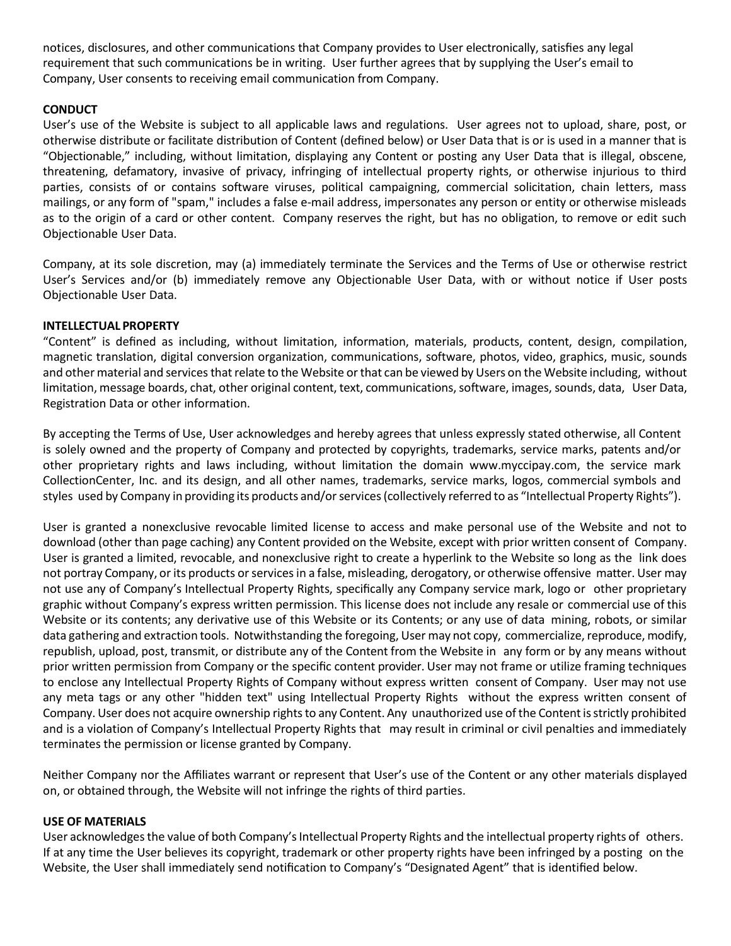notices, disclosures, and other communications that Company provides to User electronically, satisfies any legal requirement that such communications be in writing. User further agrees that by supplying the User's email to Company, User consents to receiving email communication from Company.

# **CONDUCT**

User's use of the Website is subject to all applicable laws and regulations. User agrees not to upload, share, post, or otherwise distribute or facilitate distribution of Content (defined below) or User Data that is or is used in a manner that is "Objectionable," including, without limitation, displaying any Content or posting any User Data that is illegal, obscene, threatening, defamatory, invasive of privacy, infringing of intellectual property rights, or otherwise injurious to third parties, consists of or contains software viruses, political campaigning, commercial solicitation, chain letters, mass mailings, or any form of "spam," includes a false e-mail address, impersonates any person or entity or otherwise misleads as to the origin of a card or other content. Company reserves the right, but has no obligation, to remove or edit such Objectionable User Data.

Company, at its sole discretion, may (a) immediately terminate the Services and the Terms of Use or otherwise restrict User's Services and/or (b) immediately remove any Objectionable User Data, with or without notice if User posts Objectionable User Data.

## **INTELLECTUAL PROPERTY**

"Content" is defined as including, without limitation, information, materials, products, content, design, compilation, magnetic translation, digital conversion organization, communications, software, photos, video, graphics, music, sounds and other material and services that relate to the Website or that can be viewed by Users on the Website including, without limitation, message boards, chat, other original content, text, communications,software, images, sounds, data, User Data, Registration Data or other information.

By accepting the Terms of Use, User acknowledges and hereby agrees that unless expressly stated otherwise, all Content is solely owned and the property of Company and protected by copyrights, trademarks, service marks, patents and/or other proprietary rights and laws including, without limitation the domain www.myccipay.com, the service mark CollectionCenter, Inc. and its design, and all other names, trademarks, service marks, logos, commercial symbols and styles used by Company in providing its products and/or services(collectively referred to as "Intellectual Property Rights").

User is granted a nonexclusive revocable limited license to access and make personal use of the Website and not to download (other than page caching) any Content provided on the Website, except with prior written consent of Company. User is granted a limited, revocable, and nonexclusive right to create a hyperlink to the Website so long as the link does not portray Company, or its products or services in a false, misleading, derogatory, or otherwise offensive matter. User may not use any of Company's Intellectual Property Rights, specifically any Company service mark, logo or other proprietary graphic without Company's express written permission. This license does not include any resale or commercial use of this Website or its contents; any derivative use of this Website or its Contents; or any use of data mining, robots, or similar data gathering and extraction tools. Notwithstanding the foregoing, User may not copy, commercialize, reproduce, modify, republish, upload, post, transmit, or distribute any of the Content from the Website in any form or by any means without prior written permission from Company or the specific content provider. User may not frame or utilize framing techniques to enclose any Intellectual Property Rights of Company without express written consent of Company. User may not use any meta tags or any other "hidden text" using Intellectual Property Rights without the express written consent of Company. User does not acquire ownership rights to any Content. Any unauthorized use of the Content is strictly prohibited and is a violation of Company's Intellectual Property Rights that may result in criminal or civil penalties and immediately terminates the permission or license granted by Company.

Neither Company nor the Affiliates warrant or represent that User's use of the Content or any other materials displayed on, or obtained through, the Website will not infringe the rights of third parties.

#### **USE OF MATERIALS**

User acknowledges the value of both Company's Intellectual Property Rights and the intellectual property rights of others. If at any time the User believes its copyright, trademark or other property rights have been infringed by a posting on the Website, the User shall immediately send notification to Company's "Designated Agent" that is identified below.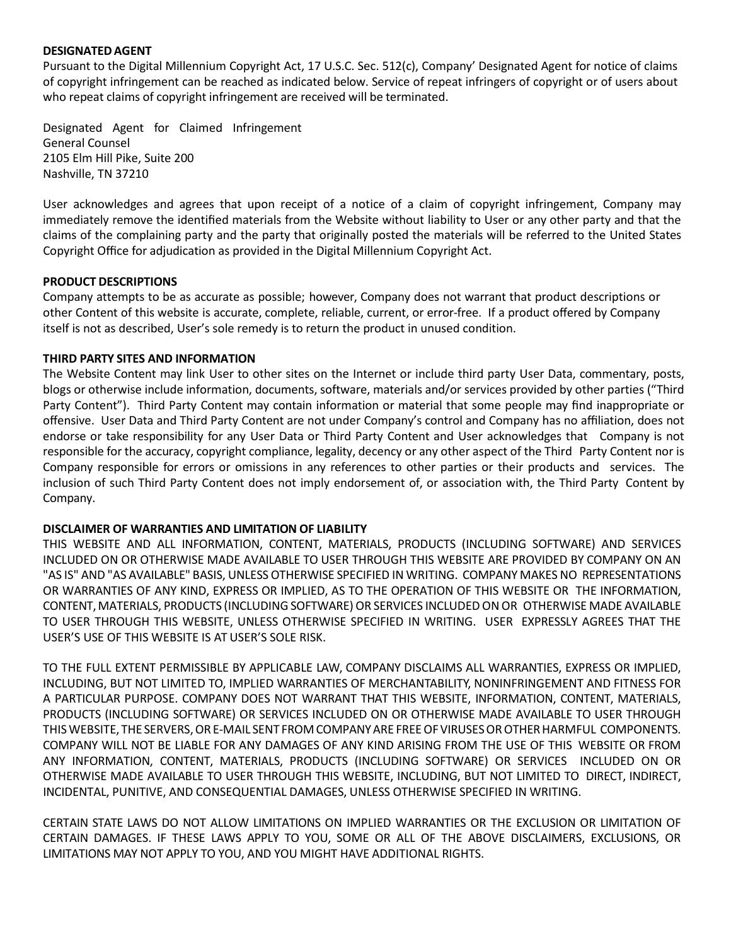#### **DESIGNATEDAGENT**

Pursuant to the Digital Millennium Copyright Act, 17 U.S.C. Sec. 512(c), Company' Designated Agent for notice of claims of copyright infringement can be reached as indicated below. Service of repeat infringers of copyright or of users about who repeat claims of copyright infringement are received will be terminated.

Designated Agent for Claimed Infringement General Counsel 2105 Elm Hill Pike, Suite 200 Nashville, TN 37210

User acknowledges and agrees that upon receipt of a notice of a claim of copyright infringement, Company may immediately remove the identified materials from the Website without liability to User or any other party and that the claims of the complaining party and the party that originally posted the materials will be referred to the United States Copyright Office for adjudication as provided in the Digital Millennium Copyright Act.

# **PRODUCT DESCRIPTIONS**

Company attempts to be as accurate as possible; however, Company does not warrant that product descriptions or other Content of this website is accurate, complete, reliable, current, or error-free. If a product offered by Company itself is not as described, User's sole remedy is to return the product in unused condition.

## **THIRD PARTY SITES AND INFORMATION**

The Website Content may link User to other sites on the Internet or include third party User Data, commentary, posts, blogs or otherwise include information, documents, software, materials and/or services provided by other parties ("Third Party Content"). Third Party Content may contain information or material that some people may find inappropriate or offensive. User Data and Third Party Content are not under Company's control and Company has no affiliation, does not endorse or take responsibility for any User Data or Third Party Content and User acknowledges that Company is not responsible for the accuracy, copyright compliance, legality, decency or any other aspect of the Third Party Content nor is Company responsible for errors or omissions in any references to other parties or their products and services. The inclusion of such Third Party Content does not imply endorsement of, or association with, the Third Party Content by Company.

# **DISCLAIMER OF WARRANTIES AND LIMITATION OF LIABILITY**

THIS WEBSITE AND ALL INFORMATION, CONTENT, MATERIALS, PRODUCTS (INCLUDING SOFTWARE) AND SERVICES INCLUDED ON OR OTHERWISE MADE AVAILABLE TO USER THROUGH THIS WEBSITE ARE PROVIDED BY COMPANY ON AN "AS IS" AND "AS AVAILABLE" BASIS, UNLESS OTHERWISE SPECIFIED IN WRITING. COMPANY MAKES NO REPRESENTATIONS OR WARRANTIES OF ANY KIND, EXPRESS OR IMPLIED, AS TO THE OPERATION OF THIS WEBSITE OR THE INFORMATION, CONTENT, MATERIALS, PRODUCTS (INCLUDING SOFTWARE) OR SERVICES INCLUDED ON OR OTHERWISE MADE AVAILABLE TO USER THROUGH THIS WEBSITE, UNLESS OTHERWISE SPECIFIED IN WRITING. USER EXPRESSLY AGREES THAT THE USER'S USE OF THIS WEBSITE IS AT USER'S SOLE RISK.

TO THE FULL EXTENT PERMISSIBLE BY APPLICABLE LAW, COMPANY DISCLAIMS ALL WARRANTIES, EXPRESS OR IMPLIED, INCLUDING, BUT NOT LIMITED TO, IMPLIED WARRANTIES OF MERCHANTABILITY, NONINFRINGEMENT AND FITNESS FOR A PARTICULAR PURPOSE. COMPANY DOES NOT WARRANT THAT THIS WEBSITE, INFORMATION, CONTENT, MATERIALS, PRODUCTS (INCLUDING SOFTWARE) OR SERVICES INCLUDED ON OR OTHERWISE MADE AVAILABLE TO USER THROUGH THISWEBSITE, THE SERVERS,OR E-MAIL SENT FROM COMPANYARE FREEOFVIRUSESOROTHERHARMFUL COMPONENTS. COMPANY WILL NOT BE LIABLE FOR ANY DAMAGES OF ANY KIND ARISING FROM THE USE OF THIS WEBSITE OR FROM ANY INFORMATION, CONTENT, MATERIALS, PRODUCTS (INCLUDING SOFTWARE) OR SERVICES INCLUDED ON OR OTHERWISE MADE AVAILABLE TO USER THROUGH THIS WEBSITE, INCLUDING, BUT NOT LIMITED TO DIRECT, INDIRECT, INCIDENTAL, PUNITIVE, AND CONSEQUENTIAL DAMAGES, UNLESS OTHERWISE SPECIFIED IN WRITING.

CERTAIN STATE LAWS DO NOT ALLOW LIMITATIONS ON IMPLIED WARRANTIES OR THE EXCLUSION OR LIMITATION OF CERTAIN DAMAGES. IF THESE LAWS APPLY TO YOU, SOME OR ALL OF THE ABOVE DISCLAIMERS, EXCLUSIONS, OR LIMITATIONS MAY NOT APPLY TO YOU, AND YOU MIGHT HAVE ADDITIONAL RIGHTS.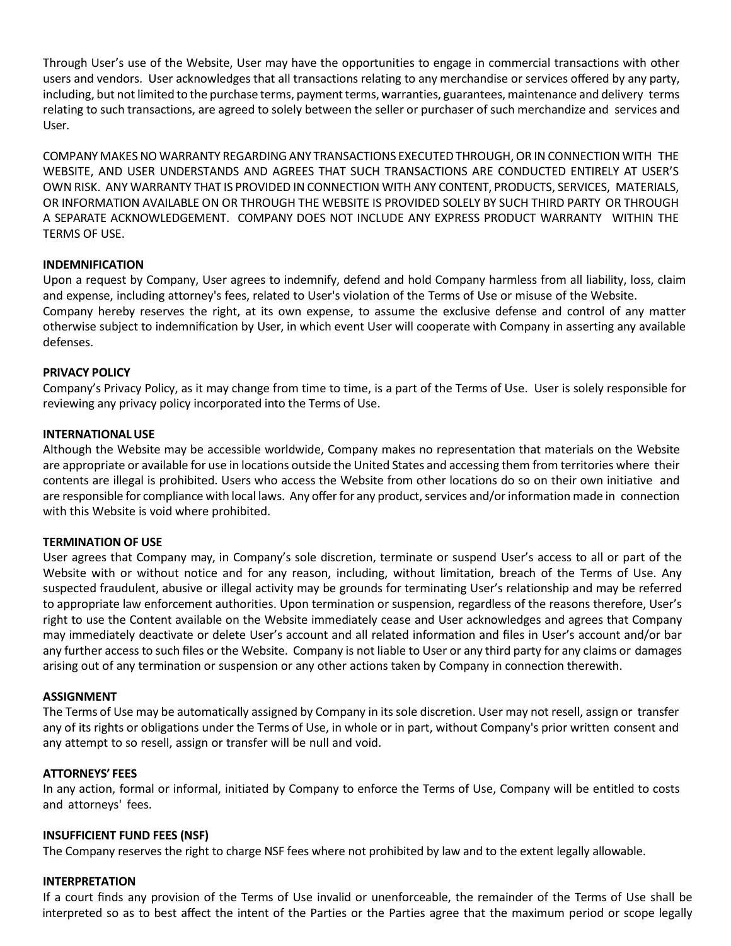Through User's use of the Website, User may have the opportunities to engage in commercial transactions with other users and vendors. User acknowledges that all transactions relating to any merchandise or services offered by any party, including, but not limited to the purchase terms, payment terms, warranties, guarantees, maintenance and delivery terms relating to such transactions, are agreed to solely between the seller or purchaser of such merchandize and services and User.

COMPANY MAKESNO WARRANTY REGARDINGANY TRANSACTIONS EXECUTED THROUGH,OR INCONNECTION WITH THE WEBSITE, AND USER UNDERSTANDS AND AGREES THAT SUCH TRANSACTIONS ARE CONDUCTED ENTIRELY AT USER'S OWN RISK. ANY WARRANTY THAT IS PROVIDED IN CONNECTION WITH ANY CONTENT, PRODUCTS, SERVICES, MATERIALS, OR INFORMATION AVAILABLE ON OR THROUGH THE WEBSITE IS PROVIDED SOLELY BY SUCH THIRD PARTY OR THROUGH A SEPARATE ACKNOWLEDGEMENT. COMPANY DOES NOT INCLUDE ANY EXPRESS PRODUCT WARRANTY WITHIN THE TERMS OF USE.

# **INDEMNIFICATION**

Upon a request by Company, User agrees to indemnify, defend and hold Company harmless from all liability, loss, claim and expense, including attorney's fees, related to User's violation of the Terms of Use or misuse of the Website. Company hereby reserves the right, at its own expense, to assume the exclusive defense and control of any matter otherwise subject to indemnification by User, in which event User will cooperate with Company in asserting any available defenses.

## **PRIVACY POLICY**

Company's Privacy Policy, as it may change from time to time, is a part of the Terms of Use. User is solely responsible for reviewing any privacy policy incorporated into the Terms of Use.

## **INTERNATIONALUSE**

Although the Website may be accessible worldwide, Company makes no representation that materials on the Website are appropriate or available for use in locations outside the United States and accessing them from territories where their contents are illegal is prohibited. Users who access the Website from other locations do so on their own initiative and are responsible for compliance with local laws. Any offer for any product, services and/or information made in connection with this Website is void where prohibited.

#### **TERMINATION OF USE**

User agrees that Company may, in Company's sole discretion, terminate or suspend User's access to all or part of the Website with or without notice and for any reason, including, without limitation, breach of the Terms of Use. Any suspected fraudulent, abusive or illegal activity may be grounds for terminating User's relationship and may be referred to appropriate law enforcement authorities. Upon termination or suspension, regardless of the reasons therefore, User's right to use the Content available on the Website immediately cease and User acknowledges and agrees that Company may immediately deactivate or delete User's account and all related information and files in User's account and/or bar any further access to such files or the Website. Company is not liable to User or any third party for any claims or damages arising out of any termination or suspension or any other actions taken by Company in connection therewith.

#### **ASSIGNMENT**

The Terms of Use may be automatically assigned by Company in its sole discretion. User may not resell, assign or transfer any of its rights or obligations under the Terms of Use, in whole or in part, without Company's prior written consent and any attempt to so resell, assign or transfer will be null and void.

#### **ATTORNEYS' FEES**

In any action, formal or informal, initiated by Company to enforce the Terms of Use, Company will be entitled to costs and attorneys' fees.

#### **INSUFFICIENT FUND FEES (NSF)**

The Company reserves the right to charge NSF fees where not prohibited by law and to the extent legally allowable.

#### **INTERPRETATION**

If a court finds any provision of the Terms of Use invalid or unenforceable, the remainder of the Terms of Use shall be interpreted so as to best affect the intent of the Parties or the Parties agree that the maximum period or scope legally